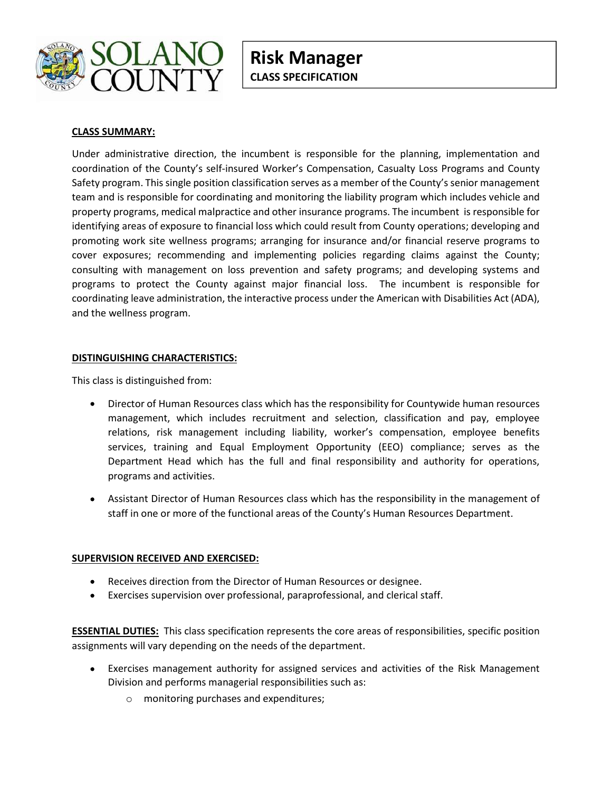

# CLASS SUMMARY:

Under administrative direction, the incumbent is responsible for the planning, implementation and coordination of the County's self-insured Worker's Compensation, Casualty Loss Programs and County Safety program. This single position classification serves as a member of the County's senior management team and is responsible for coordinating and monitoring the liability program which includes vehicle and property programs, medical malpractice and other insurance programs. The incumbent is responsible for identifying areas of exposure to financial loss which could result from County operations; developing and promoting work site wellness programs; arranging for insurance and/or financial reserve programs to cover exposures; recommending and implementing policies regarding claims against the County; consulting with management on loss prevention and safety programs; and developing systems and programs to protect the County against major financial loss. The incumbent is responsible for coordinating leave administration, the interactive process under the American with Disabilities Act (ADA), and the wellness program.

# DISTINGUISHING CHARACTERISTICS:

This class is distinguished from:

- Director of Human Resources class which has the responsibility for Countywide human resources management, which includes recruitment and selection, classification and pay, employee relations, risk management including liability, worker's compensation, employee benefits services, training and Equal Employment Opportunity (EEO) compliance; serves as the Department Head which has the full and final responsibility and authority for operations, programs and activities.
- Assistant Director of Human Resources class which has the responsibility in the management of staff in one or more of the functional areas of the County's Human Resources Department.

### SUPERVISION RECEIVED AND EXERCISED:

- Receives direction from the Director of Human Resources or designee.
- Exercises supervision over professional, paraprofessional, and clerical staff.  $\bullet$

**ESSENTIAL DUTIES:** This class specification represents the core areas of responsibilities, specific position assignments will vary depending on the needs of the department.

- Exercises management authority for assigned services and activities of the Risk Management Division and performs managerial responsibilities such as:
	- o monitoring purchases and expenditures;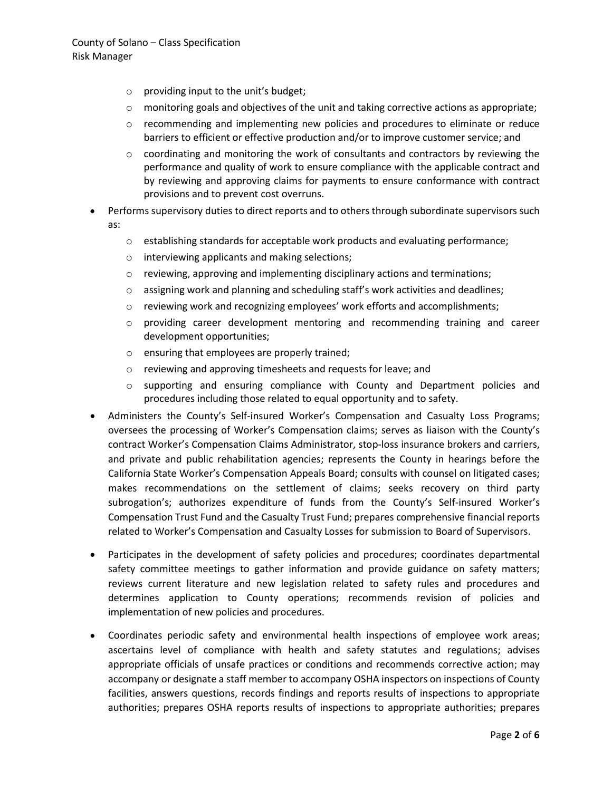# County of Solano – Class Specification<br>Risk Manager<br>
o providing input to the unit's budget;<br>
o monitoring goals and objectives of the unit and taking corrective actions as a Risk Manager

- o providing input to the unit's budget;
- $\circ$  monitoring goals and objectives of the unit and taking corrective actions as appropriate;
- $\circ$  recommending and implementing new policies and procedures to eliminate or reduce barriers to efficient or effective production and/or to improve customer service; and
- o coordinating and monitoring the work of consultants and contractors by reviewing the performance and quality of work to ensure compliance with the applicable contract and by reviewing and approving claims for payments to ensure conformance with contract provisions and to prevent cost overruns.
- Performs supervisory duties to direct reports and to others through subordinate supervisors such as:
	- o establishing standards for acceptable work products and evaluating performance;
	- o interviewing applicants and making selections;
	- o reviewing, approving and implementing disciplinary actions and terminations;
	- o assigning work and planning and scheduling staff's work activities and deadlines;
	- o reviewing work and recognizing employees' work efforts and accomplishments;
	- o providing career development mentoring and recommending training and career development opportunities;
	- o ensuring that employees are properly trained;
	- o reviewing and approving timesheets and requests for leave; and
	- $\circ$  supporting and ensuring compliance with County and Department policies and procedures including those related to equal opportunity and to safety.
- Administers the County's Self-insured Worker's Compensation and Casualty Loss Programs; oversees the processing of Worker's Compensation claims; serves as liaison with the County's contract Worker's Compensation Claims Administrator, stop-loss insurance brokers and carriers, and private and public rehabilitation agencies; represents the County in hearings before the California State Worker's Compensation Appeals Board; consults with counsel on litigated cases; makes recommendations on the settlement of claims; seeks recovery on third party subrogation's; authorizes expenditure of funds from the County's Self-insured Worker's Compensation Trust Fund and the Casualty Trust Fund; prepares comprehensive financial reports related to Worker's Compensation and Casualty Losses for submission to Board of Supervisors.
- Participates in the development of safety policies and procedures; coordinates departmental safety committee meetings to gather information and provide guidance on safety matters; reviews current literature and new legislation related to safety rules and procedures and determines application to County operations; recommends revision of policies and implementation of new policies and procedures.
- Coordinates periodic safety and environmental health inspections of employee work areas; ascertains level of compliance with health and safety statutes and regulations; advises appropriate officials of unsafe practices or conditions and recommends corrective action; may accompany or designate a staff member to accompany OSHA inspectors on inspections of County facilities, answers questions, records findings and reports results of inspections to appropriate authorities; prepares OSHA reports results of inspections to appropriate authorities; prepares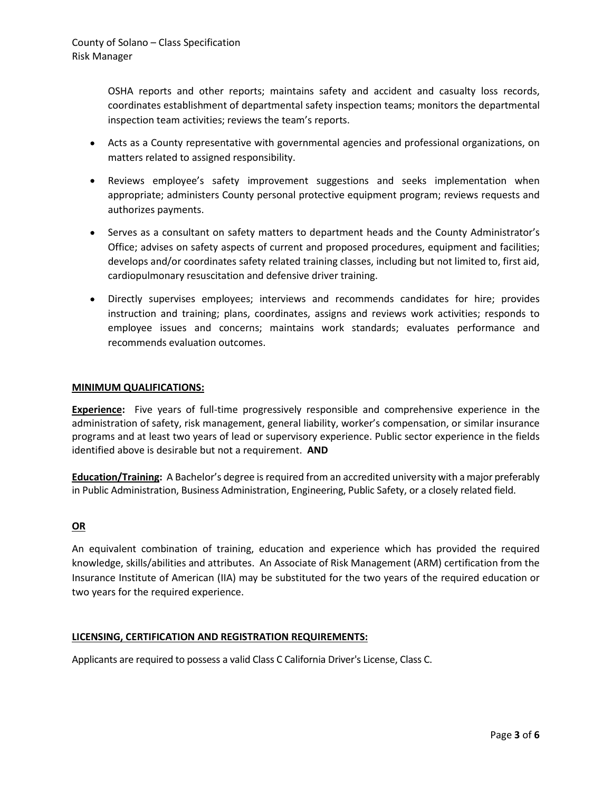County of Solano – Class Specification<br>Risk Manager<br>OSHA reports and other reports; maintains safety and accident and casualty locordinates establishment of departmental safety inspection teams; monitors the department OSHA reports and other reports; maintains safety and accident and casualty loss records, coordinates establishment of departmental safety inspection teams; monitors the departmental inspection team activities; reviews the team's reports.

- Acts as a County representative with governmental agencies and professional organizations, on matters related to assigned responsibility.
- Reviews employee's safety improvement suggestions and seeks implementation when appropriate; administers County personal protective equipment program; reviews requests and authorizes payments.
- Serves as a consultant on safety matters to department heads and the County Administrator's Office; advises on safety aspects of current and proposed procedures, equipment and facilities; develops and/or coordinates safety related training classes, including but not limited to, first aid, cardiopulmonary resuscitation and defensive driver training.
- Directly supervises employees; interviews and recommends candidates for hire; provides instruction and training; plans, coordinates, assigns and reviews work activities; responds to employee issues and concerns; maintains work standards; evaluates performance and recommends evaluation outcomes.

# MINIMUM QUALIFICATIONS:

Experience: Five years of full-time progressively responsible and comprehensive experience in the administration of safety, risk management, general liability, worker's compensation, or similar insurance programs and at least two years of lead or supervisory experience. Public sector experience in the fields identified above is desirable but not a requirement. AND

Education/Training: A Bachelor's degree is required from an accredited university with a major preferably in Public Administration, Business Administration, Engineering, Public Safety, or a closely related field.

# OR

An equivalent combination of training, education and experience which has provided the required knowledge, skills/abilities and attributes. An Associate of Risk Management (ARM) certification from the Insurance Institute of American (IIA) may be substituted for the two years of the required education or two years for the required experience.

# LICENSING, CERTIFICATION AND REGISTRATION REQUIREMENTS:

Applicants are required to possess a valid Class C California Driver's License, Class C.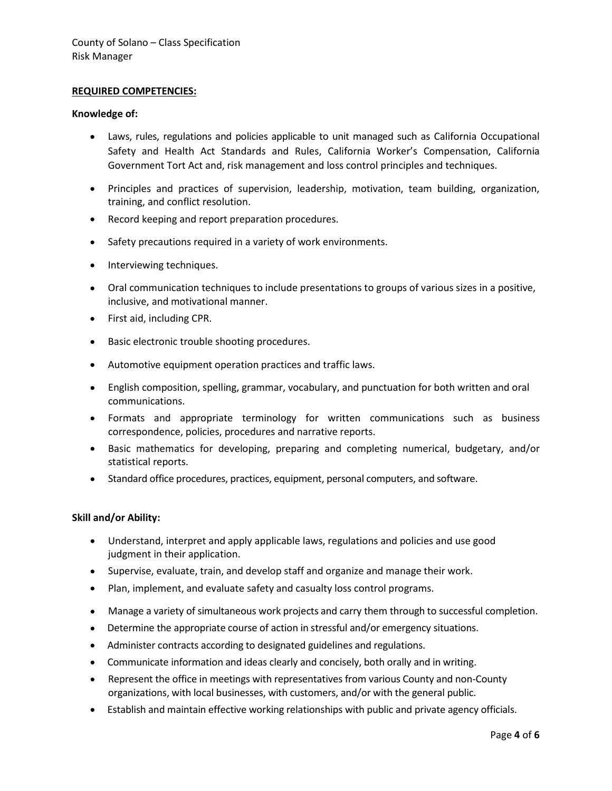# REQUIRED COMPETENCIES:

### Knowledge of:

- Laws, rules, regulations and policies applicable to unit managed such as California Occupational Safety and Health Act Standards and Rules, California Worker's Compensation, California Government Tort Act and, risk management and loss control principles and techniques.
- Principles and practices of supervision, leadership, motivation, team building, organization, training, and conflict resolution.
- Record keeping and report preparation procedures.  $\bullet$
- Safety precautions required in a variety of work environments.
- Interviewing techniques.
- Oral communication techniques to include presentations to groups of various sizes in a positive, inclusive, and motivational manner.
- First aid, including CPR.
- Basic electronic trouble shooting procedures.
- Automotive equipment operation practices and traffic laws.
- English composition, spelling, grammar, vocabulary, and punctuation for both written and oral communications.
- Formats and appropriate terminology for written communications such as business correspondence, policies, procedures and narrative reports.
- Basic mathematics for developing, preparing and completing numerical, budgetary, and/or statistical reports.
- Standard office procedures, practices, equipment, personal computers, and software.

### Skill and/or Ability:

- Understand, interpret and apply applicable laws, regulations and policies and use good judgment in their application.
- Supervise, evaluate, train, and develop staff and organize and manage their work.
- Plan, implement, and evaluate safety and casualty loss control programs.
- Manage a variety of simultaneous work projects and carry them through to successful completion.
- Determine the appropriate course of action in stressful and/or emergency situations.
- Administer contracts according to designated guidelines and regulations.
- Communicate information and ideas clearly and concisely, both orally and in writing.
- Represent the office in meetings with representatives from various County and non-County organizations, with local businesses, with customers, and/or with the general public.
- Establish and maintain effective working relationships with public and private agency officials.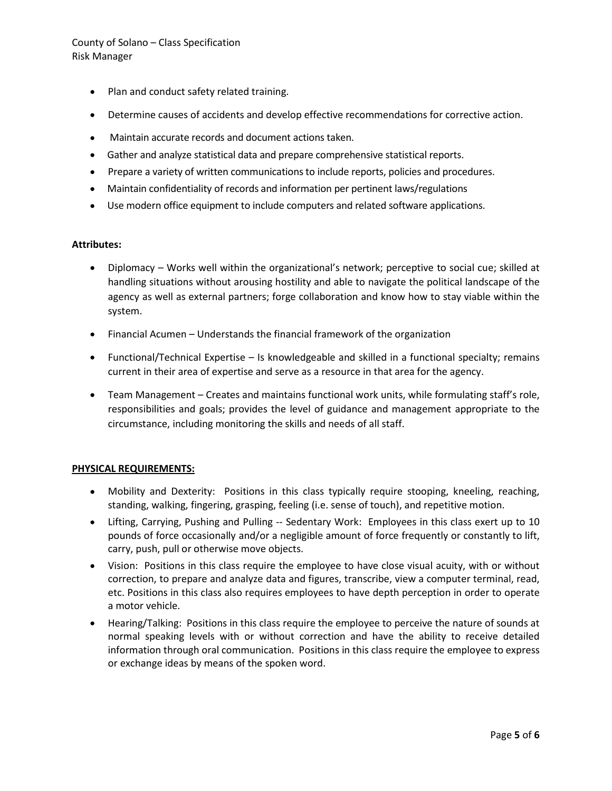# County of Solano – Class Specification<br>
Risk Manager<br>
• Plan and conduct safety related training.<br>
• Determine causes of accidents and develop effective recommendations for corrective Risk Manager

- Plan and conduct safety related training.
- Determine causes of accidents and develop effective recommendations for corrective action.
- Maintain accurate records and document actions taken.  $\bullet$
- Gather and analyze statistical data and prepare comprehensive statistical reports.
- Prepare a variety of written communications to include reports, policies and procedures.  $\bullet$
- Maintain confidentiality of records and information per pertinent laws/regulations
- Use modern office equipment to include computers and related software applications.

# Attributes:

- Diplomacy Works well within the organizational's network; perceptive to social cue; skilled at handling situations without arousing hostility and able to navigate the political landscape of the agency as well as external partners; forge collaboration and know how to stay viable within the system.
- Financial Acumen Understands the financial framework of the organization
- Functional/Technical Expertise Is knowledgeable and skilled in a functional specialty; remains current in their area of expertise and serve as a resource in that area for the agency.
- Team Management Creates and maintains functional work units, while formulating staff's role, responsibilities and goals; provides the level of guidance and management appropriate to the circumstance, including monitoring the skills and needs of all staff.

# PHYSICAL REQUIREMENTS:

- Mobility and Dexterity: Positions in this class typically require stooping, kneeling, reaching, standing, walking, fingering, grasping, feeling (i.e. sense of touch), and repetitive motion.
- Lifting, Carrying, Pushing and Pulling -- Sedentary Work: Employees in this class exert up to 10 pounds of force occasionally and/or a negligible amount of force frequently or constantly to lift, carry, push, pull or otherwise move objects.
- Vision: Positions in this class require the employee to have close visual acuity, with or without correction, to prepare and analyze data and figures, transcribe, view a computer terminal, read, etc. Positions in this class also requires employees to have depth perception in order to operate a motor vehicle.
- Hearing/Talking: Positions in this class require the employee to perceive the nature of sounds at normal speaking levels with or without correction and have the ability to receive detailed information through oral communication. Positions in this class require the employee to express or exchange ideas by means of the spoken word.